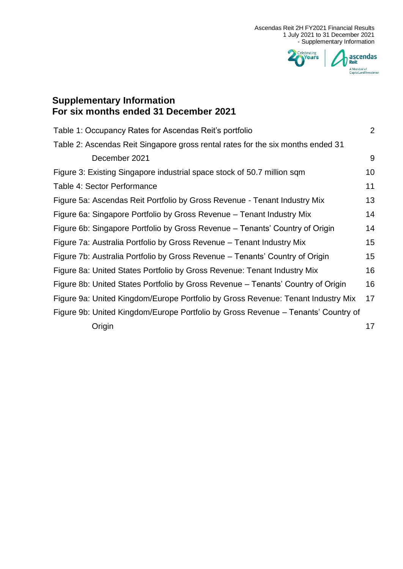

# **Supplementary Information For six months ended 31 December 2021**

| Table 1: Occupancy Rates for Ascendas Reit's portfolio                            | $\overline{2}$ |
|-----------------------------------------------------------------------------------|----------------|
| Table 2: Ascendas Reit Singapore gross rental rates for the six months ended 31   |                |
| December 2021                                                                     | 9              |
| Figure 3: Existing Singapore industrial space stock of 50.7 million sqm           | 10             |
| Table 4: Sector Performance                                                       | 11             |
| Figure 5a: Ascendas Reit Portfolio by Gross Revenue - Tenant Industry Mix         | 13             |
| Figure 6a: Singapore Portfolio by Gross Revenue – Tenant Industry Mix             | 14             |
| Figure 6b: Singapore Portfolio by Gross Revenue – Tenants' Country of Origin      | 14             |
| Figure 7a: Australia Portfolio by Gross Revenue – Tenant Industry Mix             | 15             |
| Figure 7b: Australia Portfolio by Gross Revenue - Tenants' Country of Origin      | 15             |
| Figure 8a: United States Portfolio by Gross Revenue: Tenant Industry Mix          | 16             |
| Figure 8b: United States Portfolio by Gross Revenue – Tenants' Country of Origin  | 16             |
| Figure 9a: United Kingdom/Europe Portfolio by Gross Revenue: Tenant Industry Mix  | 17             |
| Figure 9b: United Kingdom/Europe Portfolio by Gross Revenue - Tenants' Country of |                |
| Origin                                                                            | 17             |
|                                                                                   |                |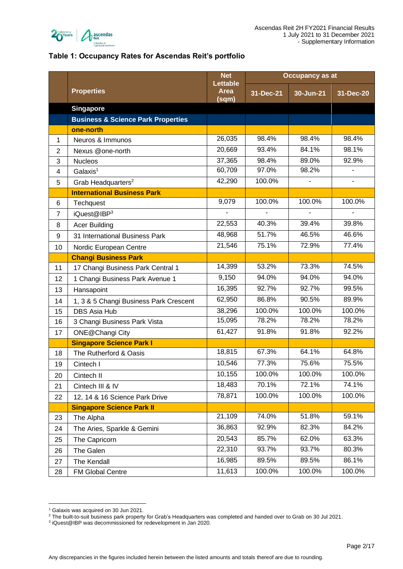

#### <span id="page-1-0"></span>**Table 1: Occupancy Rates for Ascendas Reit's portfolio**

|                |                                               | <b>Net</b>                              | <b>Occupancy as at</b> |           |           |
|----------------|-----------------------------------------------|-----------------------------------------|------------------------|-----------|-----------|
|                | <b>Properties</b>                             | <b>Lettable</b><br><b>Area</b><br>(sqm) | 31-Dec-21              | 30-Jun-21 | 31-Dec-20 |
|                | <b>Singapore</b>                              |                                         |                        |           |           |
|                | <b>Business &amp; Science Park Properties</b> |                                         |                        |           |           |
|                | one-north                                     |                                         |                        |           |           |
| 1              | Neuros & Immunos                              | 26,035                                  | 98.4%                  | 98.4%     | 98.4%     |
| $\overline{2}$ | Nexus @one-north                              | 20,669                                  | 93.4%                  | 84.1%     | 98.1%     |
| 3              | <b>Nucleos</b>                                | 37,365                                  | 98.4%                  | 89.0%     | 92.9%     |
| 4              | Galaxis <sup>1</sup>                          | 60,709                                  | 97.0%                  | 98.2%     |           |
| 5              | Grab Headquarters <sup>2</sup>                | 42,290                                  | 100.0%                 |           |           |
|                | <b>International Business Park</b>            |                                         |                        |           |           |
| 6              | Techquest                                     | 9,079                                   | 100.0%                 | 100.0%    | 100.0%    |
| $\overline{7}$ | iQuest@IBP3                                   |                                         | ä,                     |           |           |
| 8              | <b>Acer Building</b>                          | 22,553                                  | 40.3%                  | 39.4%     | 39.8%     |
| 9              | 31 International Business Park                | 48,968                                  | 51.7%                  | 46.5%     | 46.6%     |
| 10             | Nordic European Centre                        | 21,546                                  | 75.1%                  | 72.9%     | 77.4%     |
|                | <b>Changi Business Park</b>                   |                                         |                        |           |           |
| 11             | 17 Changi Business Park Central 1             | 14,399                                  | $\overline{53.2\%}$    | 73.3%     | 74.5%     |
| 12             | 1 Changi Business Park Avenue 1               | 9,150                                   | 94.0%                  | 94.0%     | 94.0%     |
| 13             | Hansapoint                                    | 16,395                                  | 92.7%                  | 92.7%     | 99.5%     |
| 14             | 1, 3 & 5 Changi Business Park Crescent        | 62,950                                  | 86.8%                  | 90.5%     | 89.9%     |
| 15             | <b>DBS Asia Hub</b>                           | 38,296                                  | 100.0%                 | 100.0%    | 100.0%    |
| 16             | 3 Changi Business Park Vista                  | 15,095                                  | 78.2%                  | 78.2%     | 78.2%     |
| 17             | ONE@Changi City                               | 61,427                                  | 91.8%                  | 91.8%     | 92.2%     |
|                | <b>Singapore Science Park I</b>               |                                         |                        |           |           |
| 18             | The Rutherford & Oasis                        | 18,815                                  | 67.3%                  | 64.1%     | 64.8%     |
| 19             | Cintech I                                     | 10,546                                  | 77.3%                  | 75.6%     | 75.5%     |
| 20             | Cintech II                                    | 10,155                                  | 100.0%                 | 100.0%    | 100.0%    |
| 21             | Cintech III & IV                              | 18,483                                  | 70.1%                  | 72.1%     | 74.1%     |
| 22             | 12, 14 & 16 Science Park Drive                | 78,871                                  | 100.0%                 | 100.0%    | 100.0%    |
|                | <b>Singapore Science Park II</b>              |                                         |                        |           |           |
| 23             | The Alpha                                     | 21,109                                  | 74.0%                  | 51.8%     | 59.1%     |
| 24             | The Aries, Sparkle & Gemini                   | 36,863                                  | 92.9%                  | 82.3%     | 84.2%     |
| 25             | The Capricorn                                 | 20,543                                  | 85.7%                  | 62.0%     | 63.3%     |
| 26             | The Galen                                     | 22,310                                  | 93.7%                  | 93.7%     | 80.3%     |
| 27             | The Kendall                                   | 16,985                                  | 89.5%                  | 89.5%     | 86.1%     |
| 28             | <b>FM Global Centre</b>                       | 11,613                                  | 100.0%                 | 100.0%    | 100.0%    |

<sup>1</sup> Galaxis was acquired on 30 Jun 2021.

<sup>&</sup>lt;sup>2</sup> The built-to-suit business park property for Grab's Headquarters was completed and handed over to Grab on 30 Jul 2021.

<sup>&</sup>lt;sup>3</sup> iQuest@IBP was decommissioned for redevelopment in Jan 2020.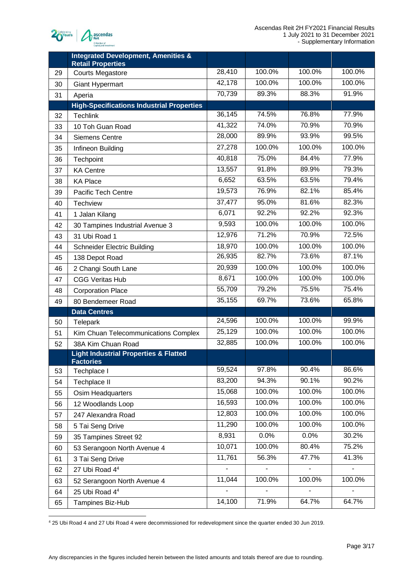

|    | <b>Integrated Development, Amenities &amp;</b><br><b>Retail Properties</b> |         |        |        |        |
|----|----------------------------------------------------------------------------|---------|--------|--------|--------|
| 29 | <b>Courts Megastore</b>                                                    | 28,410  | 100.0% | 100.0% | 100.0% |
| 30 | Giant Hypermart                                                            | 42,178  | 100.0% | 100.0% | 100.0% |
| 31 | Aperia                                                                     | 70,739  | 89.3%  | 88.3%  | 91.9%  |
|    | <b>High-Specifications Industrial Properties</b>                           |         |        |        |        |
| 32 | <b>Techlink</b>                                                            | 36,145  | 74.5%  | 76.8%  | 77.9%  |
| 33 | 10 Toh Guan Road                                                           | 41,322  | 74.0%  | 70.9%  | 70.9%  |
| 34 | <b>Siemens Centre</b>                                                      | 28,000  | 89.9%  | 93.9%  | 99.5%  |
| 35 | Infineon Building                                                          | 27,278  | 100.0% | 100.0% | 100.0% |
| 36 | Techpoint                                                                  | 40,818  | 75.0%  | 84.4%  | 77.9%  |
| 37 | <b>KA Centre</b>                                                           | 13,557  | 91.8%  | 89.9%  | 79.3%  |
| 38 | <b>KA Place</b>                                                            | 6,652   | 63.5%  | 63.5%  | 79.4%  |
| 39 | <b>Pacific Tech Centre</b>                                                 | 19,573  | 76.9%  | 82.1%  | 85.4%  |
| 40 | <b>Techview</b>                                                            | 37,477  | 95.0%  | 81.6%  | 82.3%  |
| 41 | 1 Jalan Kilang                                                             | 6,071   | 92.2%  | 92.2%  | 92.3%  |
| 42 | 30 Tampines Industrial Avenue 3                                            | 9,593   | 100.0% | 100.0% | 100.0% |
| 43 | 31 Ubi Road 1                                                              | 12,976  | 71.2%  | 70.9%  | 72.5%  |
| 44 | <b>Schneider Electric Building</b>                                         | 18,970  | 100.0% | 100.0% | 100.0% |
| 45 | 138 Depot Road                                                             | 26,935  | 82.7%  | 73.6%  | 87.1%  |
| 46 | 2 Changi South Lane                                                        | 20,939  | 100.0% | 100.0% | 100.0% |
| 47 | <b>CGG Veritas Hub</b>                                                     | 8,671   | 100.0% | 100.0% | 100.0% |
| 48 | <b>Corporation Place</b>                                                   | 55,709  | 79.2%  | 75.5%  | 75.4%  |
| 49 | 80 Bendemeer Road                                                          | 35, 155 | 69.7%  | 73.6%  | 65.8%  |
|    | <b>Data Centres</b>                                                        |         |        |        |        |
| 50 | Telepark                                                                   | 24,596  | 100.0% | 100.0% | 99.9%  |
| 51 | Kim Chuan Telecommunications Complex                                       | 25,129  | 100.0% | 100.0% | 100.0% |
| 52 | 38A Kim Chuan Road                                                         | 32,885  | 100.0% | 100.0% | 100.0% |
|    | <b>Light Industrial Properties &amp; Flatted</b><br><b>Factories</b>       |         |        |        |        |
| 53 | Techplace I                                                                | 59,524  | 97.8%  | 90.4%  | 86.6%  |
| 54 | Techplace II                                                               | 83,200  | 94.3%  | 90.1%  | 90.2%  |
| 55 | Osim Headquarters                                                          | 15,068  | 100.0% | 100.0% | 100.0% |
| 56 | 12 Woodlands Loop                                                          | 16,593  | 100.0% | 100.0% | 100.0% |
| 57 | 247 Alexandra Road                                                         | 12,803  | 100.0% | 100.0% | 100.0% |
| 58 | 5 Tai Seng Drive                                                           | 11,290  | 100.0% | 100.0% | 100.0% |
| 59 | 35 Tampines Street 92                                                      | 8,931   | 0.0%   | 0.0%   | 30.2%  |
| 60 | 53 Serangoon North Avenue 4                                                | 10,071  | 100.0% | 80.4%  | 75.2%  |
| 61 | 3 Tai Seng Drive                                                           | 11,761  | 56.3%  | 47.7%  | 41.3%  |
| 62 | 27 Ubi Road 44                                                             |         |        | ä,     | ÷,     |
| 63 | 52 Serangoon North Avenue 4                                                | 11,044  | 100.0% | 100.0% | 100.0% |
| 64 | 25 Ubi Road 44                                                             |         |        |        |        |
| 65 | Tampines Biz-Hub                                                           | 14,100  | 71.9%  | 64.7%  | 64.7%  |

25 Ubi Road 4 and 27 Ubi Road 4 were decommissioned for redevelopment since the quarter ended 30 Jun 2019.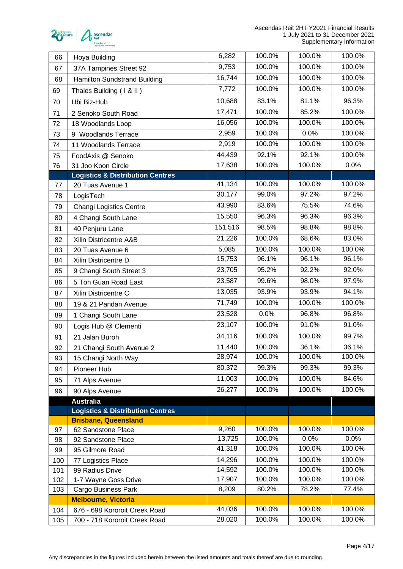

| 66  | Hoya Building                               | 6,282   | 100.0% | 100.0% | 100.0% |
|-----|---------------------------------------------|---------|--------|--------|--------|
| 67  | 37A Tampines Street 92                      | 9,753   | 100.0% | 100.0% | 100.0% |
| 68  | Hamilton Sundstrand Building                | 16,744  | 100.0% | 100.0% | 100.0% |
| 69  | Thales Building (1 & II)                    | 7,772   | 100.0% | 100.0% | 100.0% |
| 70  | Ubi Biz-Hub                                 | 10,688  | 83.1%  | 81.1%  | 96.3%  |
| 71  | 2 Senoko South Road                         | 17,471  | 100.0% | 85.2%  | 100.0% |
| 72  | 18 Woodlands Loop                           | 16,056  | 100.0% | 100.0% | 100.0% |
| 73  | 9 Woodlands Terrace                         | 2,959   | 100.0% | 0.0%   | 100.0% |
| 74  | 11 Woodlands Terrace                        | 2,919   | 100.0% | 100.0% | 100.0% |
| 75  | FoodAxis @ Senoko                           | 44,439  | 92.1%  | 92.1%  | 100.0% |
| 76  | 31 Joo Koon Circle                          | 17,638  | 100.0% | 100.0% | 0.0%   |
|     | <b>Logistics &amp; Distribution Centres</b> |         |        |        |        |
| 77  | 20 Tuas Avenue 1                            | 41,134  | 100.0% | 100.0% | 100.0% |
| 78  | LogisTech                                   | 30,177  | 99.0%  | 97.2%  | 97.2%  |
| 79  | <b>Changi Logistics Centre</b>              | 43,990  | 83.6%  | 75.5%  | 74.6%  |
| 80  | 4 Changi South Lane                         | 15,550  | 96.3%  | 96.3%  | 96.3%  |
| 81  | 40 Penjuru Lane                             | 151,516 | 98.5%  | 98.8%  | 98.8%  |
| 82  | Xilin Districentre A&B                      | 21,226  | 100.0% | 68.6%  | 83.0%  |
| 83  | 20 Tuas Avenue 6                            | 5,085   | 100.0% | 100.0% | 100.0% |
| 84  | Xilin Districentre D                        | 15,753  | 96.1%  | 96.1%  | 96.1%  |
| 85  | 9 Changi South Street 3                     | 23,705  | 95.2%  | 92.2%  | 92.0%  |
| 86  | 5 Toh Guan Road East                        | 23,587  | 99.6%  | 98.0%  | 97.9%  |
| 87  | Xilin Districentre C                        | 13,035  | 93.9%  | 93.9%  | 94.1%  |
| 88  | 19 & 21 Pandan Avenue                       | 71,749  | 100.0% | 100.0% | 100.0% |
| 89  | 1 Changi South Lane                         | 23,528  | 0.0%   | 96.8%  | 96.8%  |
| 90  | Logis Hub @ Clementi                        | 23,107  | 100.0% | 91.0%  | 91.0%  |
| 91  | 21 Jalan Buroh                              | 34,116  | 100.0% | 100.0% | 99.7%  |
| 92  | 21 Changi South Avenue 2                    | 11,440  | 100.0% | 36.1%  | 36.1%  |
| 93  | 15 Changi North Way                         | 28,974  | 100.0% | 100.0% | 100.0% |
| 94  | Pioneer Hub                                 | 80,372  | 99.3%  | 99.3%  | 99.3%  |
| 95  | 71 Alps Avenue                              | 11,003  | 100.0% | 100.0% | 84.6%  |
| 96  | 90 Alps Avenue                              | 26,277  | 100.0% | 100.0% | 100.0% |
|     | <b>Australia</b>                            |         |        |        |        |
|     | <b>Logistics &amp; Distribution Centres</b> |         |        |        |        |
|     | <b>Brisbane, Queensland</b>                 |         |        |        |        |
| 97  | 62 Sandstone Place                          | 9,260   | 100.0% | 100.0% | 100.0% |
| 98  | 92 Sandstone Place                          | 13,725  | 100.0% | 0.0%   | 0.0%   |
| 99  | 95 Gilmore Road                             | 41,318  | 100.0% | 100.0% | 100.0% |
| 100 | 77 Logistics Place                          | 14,296  | 100.0% | 100.0% | 100.0% |
| 101 | 99 Radius Drive                             | 14,592  | 100.0% | 100.0% | 100.0% |
| 102 | 1-7 Wayne Goss Drive                        | 17,907  | 100.0% | 100.0% | 100.0% |
| 103 | Cargo Business Park                         | 8,209   | 80.2%  | 78.2%  | 77.4%  |
|     | <b>Melbourne, Victoria</b>                  |         |        |        |        |
| 104 | 676 - 698 Kororoit Creek Road               | 44,036  | 100.0% | 100.0% | 100.0% |
| 105 | 700 - 718 Kororoit Creek Road               | 28,020  | 100.0% | 100.0% | 100.0% |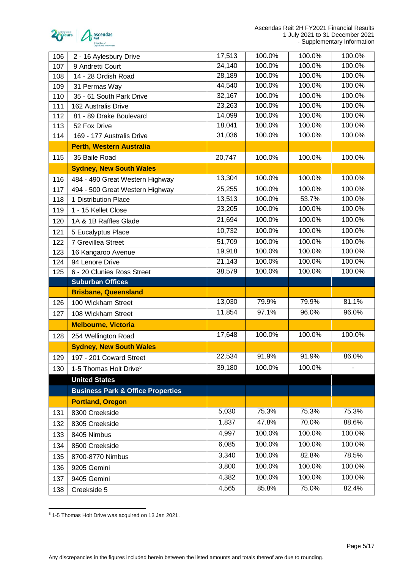

| 106 | 2 - 16 Aylesbury Drive                       | 17,513         | 100.0%          | 100.0%          | 100.0%          |
|-----|----------------------------------------------|----------------|-----------------|-----------------|-----------------|
| 107 | 9 Andretti Court                             | 24,140         | 100.0%          | 100.0%          | 100.0%          |
| 108 | 14 - 28 Ordish Road                          | 28,189         | 100.0%          | 100.0%          | 100.0%          |
| 109 | 31 Permas Way                                | 44,540         | 100.0%          | 100.0%          | 100.0%          |
| 110 | 35 - 61 South Park Drive                     | 32,167         | 100.0%          | 100.0%          | 100.0%          |
| 111 | 162 Australis Drive                          | 23,263         | 100.0%          | 100.0%          | 100.0%          |
| 112 | 81 - 89 Drake Boulevard                      | 14,099         | 100.0%          | 100.0%          | 100.0%          |
| 113 | 52 Fox Drive                                 | 18,041         | 100.0%          | 100.0%          | 100.0%          |
| 114 | 169 - 177 Australis Drive                    | 31,036         | 100.0%          | 100.0%          | 100.0%          |
|     | <b>Perth, Western Australia</b>              |                |                 |                 |                 |
| 115 | 35 Baile Road                                | 20,747         | 100.0%          | 100.0%          | 100.0%          |
|     | <b>Sydney, New South Wales</b>               |                |                 |                 |                 |
| 116 | 484 - 490 Great Western Highway              | 13,304         | 100.0%          | 100.0%          | 100.0%          |
| 117 | 494 - 500 Great Western Highway              | 25,255         | 100.0%          | 100.0%          | 100.0%          |
| 118 | 1 Distribution Place                         | 13,513         | 100.0%          | 53.7%           | 100.0%          |
| 119 | 1 - 15 Kellet Close                          | 23,205         | 100.0%          | 100.0%          | 100.0%          |
| 120 | 1A & 1B Raffles Glade                        | 21,694         | 100.0%          | 100.0%          | 100.0%          |
| 121 | 5 Eucalyptus Place                           | 10,732         | 100.0%          | 100.0%          | 100.0%          |
| 122 | 7 Grevillea Street                           | 51,709         | 100.0%          | 100.0%          | 100.0%          |
| 123 | 16 Kangaroo Avenue                           | 19,918         | 100.0%          | 100.0%          | 100.0%          |
| 124 | 94 Lenore Drive                              | 21,143         | 100.0%          | 100.0%          | 100.0%          |
| 125 | 6 - 20 Clunies Ross Street                   | 38,579         | 100.0%          | 100.0%          | 100.0%          |
|     | <b>Suburban Offices</b>                      |                |                 |                 |                 |
|     | <b>Brisbane, Queensland</b>                  |                |                 |                 |                 |
| 126 | 100 Wickham Street                           | 13,030         | 79.9%           | 79.9%           | 81.1%           |
| 127 | 108 Wickham Street                           | 11,854         | 97.1%           | 96.0%           | 96.0%           |
|     | <b>Melbourne, Victoria</b>                   |                |                 |                 |                 |
| 128 | 254 Wellington Road                          | 17,648         | 100.0%          | 100.0%          | 100.0%          |
|     | <b>Sydney, New South Wales</b>               |                |                 |                 |                 |
| 129 | 197 - 201 Coward Street                      | 22,534         | 91.9%           | 91.9%           | 86.0%           |
| 130 | 1-5 Thomas Holt Drive <sup>5</sup>           | 39,180         | 100.0%          | 100.0%          |                 |
|     | <b>United States</b>                         |                |                 |                 |                 |
|     | <b>Business Park &amp; Office Properties</b> |                |                 |                 |                 |
|     | <b>Portland, Oregon</b>                      |                |                 |                 |                 |
| 131 | 8300 Creekside                               | 5,030          | 75.3%           | 75.3%           | 75.3%           |
| 132 | 8305 Creekside                               | 1,837          | 47.8%           | 70.0%           | 88.6%           |
| 133 | 8405 Nimbus                                  | 4,997          | 100.0%          | 100.0%          | 100.0%          |
|     |                                              | 6,085          | 100.0%          | 100.0%          | 100.0%          |
| 134 | 8500 Creekside                               | 3,340          | 100.0%          | 82.8%           | 78.5%           |
| 135 | 8700-8770 Nimbus                             |                |                 |                 |                 |
| 136 | 9205 Gemini                                  | 3,800          | 100.0%          | 100.0%          | 100.0%          |
|     |                                              |                |                 |                 |                 |
| 137 | 9405 Gemini                                  | 4,382<br>4,565 | 100.0%<br>85.8% | 100.0%<br>75.0% | 100.0%<br>82.4% |

1-5 Thomas Holt Drive was acquired on 13 Jan 2021.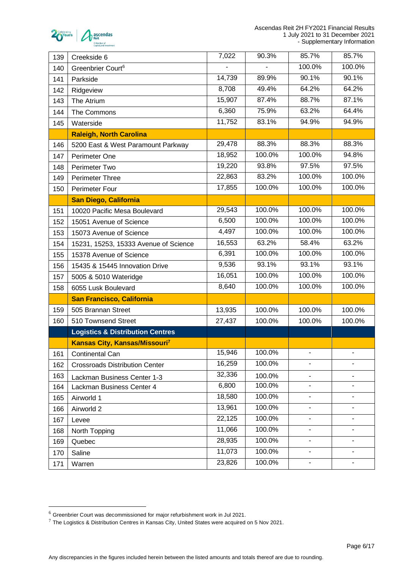

| 139 | Creekside 6                                 | 7,022  | 90.3%  | 85.7%  | 85.7%                    |
|-----|---------------------------------------------|--------|--------|--------|--------------------------|
| 140 | Greenbrier Court <sup>6</sup>               |        |        | 100.0% | 100.0%                   |
| 141 | Parkside                                    | 14,739 | 89.9%  | 90.1%  | 90.1%                    |
| 142 | Ridgeview                                   | 8,708  | 49.4%  | 64.2%  | 64.2%                    |
| 143 | The Atrium                                  | 15,907 | 87.4%  | 88.7%  | 87.1%                    |
| 144 | The Commons                                 | 6,360  | 75.9%  | 63.2%  | 64.4%                    |
| 145 | Waterside                                   | 11,752 | 83.1%  | 94.9%  | 94.9%                    |
|     | <b>Raleigh, North Carolina</b>              |        |        |        |                          |
| 146 | 5200 East & West Paramount Parkway          | 29,478 | 88.3%  | 88.3%  | 88.3%                    |
| 147 | Perimeter One                               | 18,952 | 100.0% | 100.0% | 94.8%                    |
| 148 | Perimeter Two                               | 19,220 | 93.8%  | 97.5%  | 97.5%                    |
| 149 | <b>Perimeter Three</b>                      | 22,863 | 83.2%  | 100.0% | 100.0%                   |
| 150 | <b>Perimeter Four</b>                       | 17,855 | 100.0% | 100.0% | 100.0%                   |
|     | <b>San Diego, California</b>                |        |        |        |                          |
| 151 | 10020 Pacific Mesa Boulevard                | 29,543 | 100.0% | 100.0% | 100.0%                   |
| 152 | 15051 Avenue of Science                     | 6,500  | 100.0% | 100.0% | 100.0%                   |
| 153 | 15073 Avenue of Science                     | 4,497  | 100.0% | 100.0% | 100.0%                   |
| 154 | 15231, 15253, 15333 Avenue of Science       | 16,553 | 63.2%  | 58.4%  | 63.2%                    |
| 155 | 15378 Avenue of Science                     | 6,391  | 100.0% | 100.0% | 100.0%                   |
| 156 | 15435 & 15445 Innovation Drive              | 9,536  | 93.1%  | 93.1%  | 93.1%                    |
| 157 | 5005 & 5010 Wateridge                       | 16,051 | 100.0% | 100.0% | 100.0%                   |
| 158 | 6055 Lusk Boulevard                         | 8,640  | 100.0% | 100.0% | 100.0%                   |
|     | San Francisco, California                   |        |        |        |                          |
| 159 | 505 Brannan Street                          | 13,935 | 100.0% | 100.0% | 100.0%                   |
| 160 | 510 Townsend Street                         | 27,437 | 100.0% | 100.0% | 100.0%                   |
|     | <b>Logistics &amp; Distribution Centres</b> |        |        |        |                          |
|     | Kansas City, Kansas/Missouri <sup>7</sup>   |        |        |        |                          |
| 161 | Continental Can                             | 15,946 | 100.0% |        |                          |
| 162 | <b>Crossroads Distribution Center</b>       | 16,259 | 100.0% |        |                          |
| 163 | Lackman Business Center 1-3                 | 32,336 | 100.0% |        |                          |
| 164 | Lackman Business Center 4                   | 6,800  | 100.0% |        |                          |
| 165 | Airworld 1                                  | 18,580 | 100.0% | Ξ.     | $\overline{\phantom{a}}$ |
| 166 | Airworld 2                                  | 13,961 | 100.0% |        |                          |
| 167 | Levee                                       | 22,125 | 100.0% |        |                          |
| 168 | North Topping                               | 11,066 | 100.0% |        |                          |
| 169 | Quebec                                      | 28,935 | 100.0% |        |                          |
| 170 | Saline                                      | 11,073 | 100.0% |        |                          |
| 171 | Warren                                      | 23,826 | 100.0% |        |                          |

Greenbrier Court was decommissioned for major refurbishment work in Jul 2021.

 $^7$  The Logistics & Distribution Centres in Kansas City, United States were acquired on 5 Nov 2021.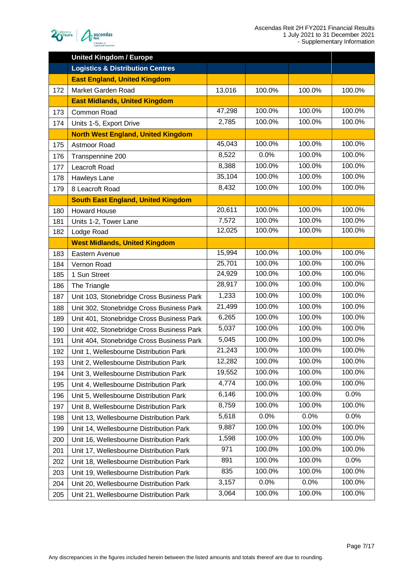

|     | <b>United Kingdom / Europe</b>              |        |        |        |        |
|-----|---------------------------------------------|--------|--------|--------|--------|
|     | <b>Logistics &amp; Distribution Centres</b> |        |        |        |        |
|     | <b>East England, United Kingdom</b>         |        |        |        |        |
| 172 | Market Garden Road                          | 13,016 | 100.0% | 100.0% | 100.0% |
|     | <b>East Midlands, United Kingdom</b>        |        |        |        |        |
| 173 | Common Road                                 | 47,298 | 100.0% | 100.0% | 100.0% |
| 174 | Units 1-5, Export Drive                     | 2,785  | 100.0% | 100.0% | 100.0% |
|     | <b>North West England, United Kingdom</b>   |        |        |        |        |
| 175 | Astmoor Road                                | 45,043 | 100.0% | 100.0% | 100.0% |
| 176 | Transpennine 200                            | 8,522  | 0.0%   | 100.0% | 100.0% |
| 177 | Leacroft Road                               | 8,388  | 100.0% | 100.0% | 100.0% |
| 178 | Hawleys Lane                                | 35,104 | 100.0% | 100.0% | 100.0% |
| 179 | 8 Leacroft Road                             | 8,432  | 100.0% | 100.0% | 100.0% |
|     | <b>South East England, United Kingdom</b>   |        |        |        |        |
| 180 | <b>Howard House</b>                         | 20,611 | 100.0% | 100.0% | 100.0% |
| 181 | Units 1-2, Tower Lane                       | 7,572  | 100.0% | 100.0% | 100.0% |
| 182 | Lodge Road                                  | 12,025 | 100.0% | 100.0% | 100.0% |
|     | <b>West Midlands, United Kingdom</b>        |        |        |        |        |
| 183 | Eastern Avenue                              | 15,994 | 100.0% | 100.0% | 100.0% |
| 184 | Vernon Road                                 | 25,701 | 100.0% | 100.0% | 100.0% |
| 185 | 1 Sun Street                                | 24,929 | 100.0% | 100.0% | 100.0% |
| 186 | The Triangle                                | 28,917 | 100.0% | 100.0% | 100.0% |
| 187 | Unit 103, Stonebridge Cross Business Park   | 1,233  | 100.0% | 100.0% | 100.0% |
| 188 | Unit 302, Stonebridge Cross Business Park   | 21,499 | 100.0% | 100.0% | 100.0% |
| 189 | Unit 401, Stonebridge Cross Business Park   | 6,265  | 100.0% | 100.0% | 100.0% |
| 190 | Unit 402, Stonebridge Cross Business Park   | 5,037  | 100.0% | 100.0% | 100.0% |
| 191 | Unit 404, Stonebridge Cross Business Park   | 5,045  | 100.0% | 100.0% | 100.0% |
| 192 | Unit 1, Wellesbourne Distribution Park      | 21,243 | 100.0% | 100.0% | 100.0% |
| 193 | Unit 2, Wellesbourne Distribution Park      | 12,282 | 100.0% | 100.0% | 100.0% |
| 194 | Unit 3, Wellesbourne Distribution Park      | 19,552 | 100.0% | 100.0% | 100.0% |
| 195 | Unit 4, Wellesbourne Distribution Park      | 4,774  | 100.0% | 100.0% | 100.0% |
| 196 | Unit 5, Wellesbourne Distribution Park      | 6,146  | 100.0% | 100.0% | 0.0%   |
| 197 | Unit 8, Wellesbourne Distribution Park      | 8,759  | 100.0% | 100.0% | 100.0% |
| 198 | Unit 13, Wellesbourne Distribution Park     | 5,618  | 0.0%   | 0.0%   | 0.0%   |
| 199 | Unit 14, Wellesbourne Distribution Park     | 9,887  | 100.0% | 100.0% | 100.0% |
| 200 | Unit 16, Wellesbourne Distribution Park     | 1,598  | 100.0% | 100.0% | 100.0% |
| 201 | Unit 17, Wellesbourne Distribution Park     | 971    | 100.0% | 100.0% | 100.0% |
| 202 | Unit 18, Wellesbourne Distribution Park     | 891    | 100.0% | 100.0% | 0.0%   |
| 203 | Unit 19, Wellesbourne Distribution Park     | 835    | 100.0% | 100.0% | 100.0% |
| 204 | Unit 20, Wellesbourne Distribution Park     | 3,157  | 0.0%   | 0.0%   | 100.0% |
| 205 | Unit 21, Wellesbourne Distribution Park     | 3,064  | 100.0% | 100.0% | 100.0% |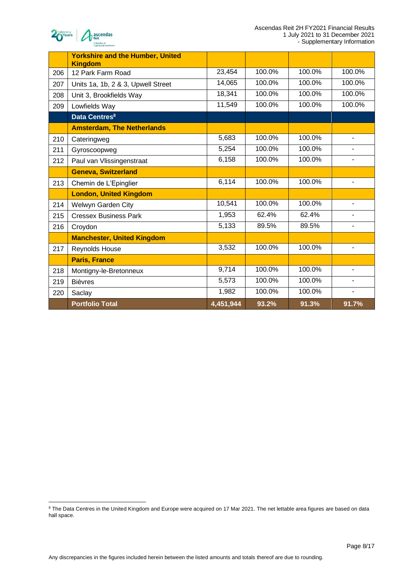



|     | <b>Yorkshire and the Humber, United</b><br><b>Kingdom</b> |           |        |        |                          |
|-----|-----------------------------------------------------------|-----------|--------|--------|--------------------------|
| 206 | 12 Park Farm Road                                         | 23,454    | 100.0% | 100.0% | 100.0%                   |
| 207 | Units 1a, 1b, 2 & 3, Upwell Street                        | 14,065    | 100.0% | 100.0% | 100.0%                   |
| 208 | Unit 3, Brookfields Way                                   | 18,341    | 100.0% | 100.0% | 100.0%                   |
| 209 | Lowfields Way                                             | 11,549    | 100.0% | 100.0% | 100.0%                   |
|     | Data Centres <sup>8</sup>                                 |           |        |        |                          |
|     | <b>Amsterdam, The Netherlands</b>                         |           |        |        |                          |
| 210 | Cateringweg                                               | 5,683     | 100.0% | 100.0% |                          |
| 211 | Gyroscoopweg                                              | 5,254     | 100.0% | 100.0% |                          |
| 212 | Paul van Vlissingenstraat                                 | 6,158     | 100.0% | 100.0% |                          |
|     | <b>Geneva, Switzerland</b>                                |           |        |        |                          |
| 213 | Chemin de L'Epinglier                                     | 6,114     | 100.0% | 100.0% | $\blacksquare$           |
|     | <b>London, United Kingdom</b>                             |           |        |        |                          |
| 214 | Welwyn Garden City                                        | 10,541    | 100.0% | 100.0% |                          |
| 215 | <b>Cressex Business Park</b>                              | 1,953     | 62.4%  | 62.4%  |                          |
| 216 | Croydon                                                   | 5,133     | 89.5%  | 89.5%  |                          |
|     | <b>Manchester, United Kingdom</b>                         |           |        |        |                          |
| 217 | Reynolds House                                            | 3,532     | 100.0% | 100.0% | $\overline{\phantom{0}}$ |
|     | <b>Paris, France</b>                                      |           |        |        |                          |
| 218 | Montigny-le-Bretonneux                                    | 9,714     | 100.0% | 100.0% |                          |
| 219 | <b>Bièvres</b>                                            | 5,573     | 100.0% | 100.0% |                          |
| 220 | Saclay                                                    | 1,982     | 100.0% | 100.0% | ÷,                       |
|     | <b>Portfolio Total</b>                                    | 4,451,944 | 93.2%  | 91.3%  | 91.7%                    |

<sup>&</sup>lt;sup>8</sup> The Data Centres in the United Kingdom and Europe were acquired on 17 Mar 2021. The net lettable area figures are based on data hall space.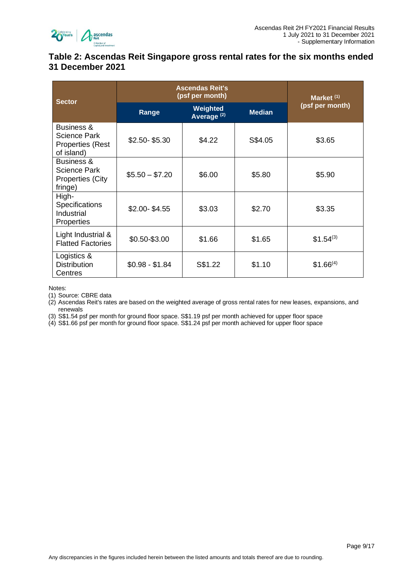

## <span id="page-8-0"></span>**Table 2: Ascendas Reit Singapore gross rental rates for the six months ended 31 December 2021**

| <b>Sector</b>                                                                  | <b>Ascendas Reit's</b><br>(psf per month) | Market <sup>(1)</sup> |         |               |
|--------------------------------------------------------------------------------|-------------------------------------------|-----------------------|---------|---------------|
|                                                                                | Range                                     | (psf per month)       |         |               |
| <b>Business &amp;</b><br>Science Park<br><b>Properties (Rest</b><br>of island) | $$2.50 - $5.30$                           | \$4.22                | S\$4.05 | \$3.65        |
| Business &<br><b>Science Park</b><br><b>Properties (City</b><br>fringe)        | $$5.50 - $7.20$                           | \$6.00                | \$5.80  | \$5.90        |
| High-<br><b>Specifications</b><br>Industrial<br>Properties                     | $$2.00 - $4.55$                           | \$3.03                | \$2.70  | \$3.35        |
| Light Industrial &<br><b>Flatted Factories</b>                                 | \$0.50-\$3.00                             | \$1.66                | \$1.65  | $$1.54^{(3)}$ |
| Logistics &<br><b>Distribution</b><br>Centres                                  | $$0.98 - $1.84$                           | S\$1.22               | \$1.10  | $$1.66^{(4)}$ |

Notes:

(1) Source: CBRE data

(2) Ascendas Reit's rates are based on the weighted average of gross rental rates for new leases, expansions, and renewals

(3) S\$1.54 psf per month for ground floor space. S\$1.19 psf per month achieved for upper floor space

(4) S\$1.66 psf per month for ground floor space. S\$1.24 psf per month achieved for upper floor space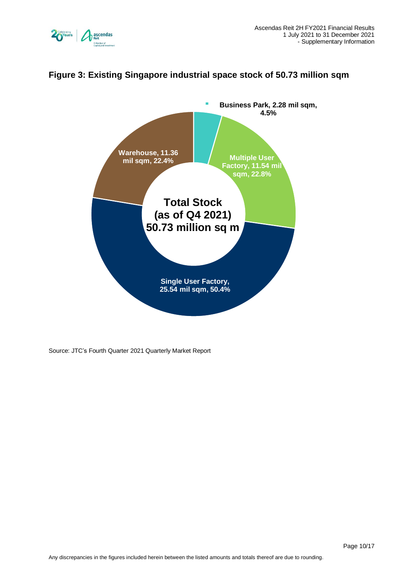



# <span id="page-9-0"></span>**Figure 3: Existing Singapore industrial space stock of 50.73 million sqm**

Source: JTC's Fourth Quarter 2021 Quarterly Market Report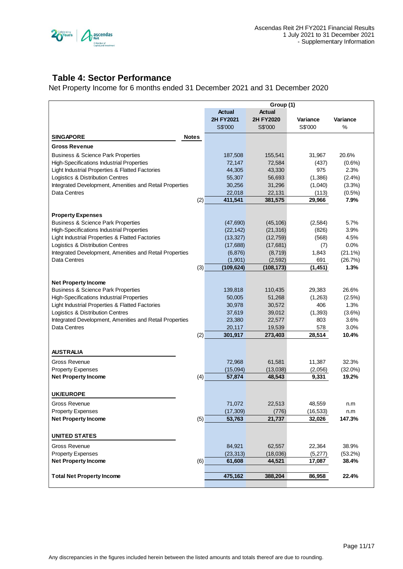

# <span id="page-10-0"></span>**Table 4: Sector Performance**

Net Property Income for 6 months ended 31 December 2021 and 31 December 2020

|                                                                         |     |                   | Group (1)         |                 |              |
|-------------------------------------------------------------------------|-----|-------------------|-------------------|-----------------|--------------|
|                                                                         |     | <b>Actual</b>     | <b>Actual</b>     |                 |              |
|                                                                         |     | 2H FY2021         | 2H FY2020         | Variance        | Variance     |
|                                                                         |     | S\$'000           | S\$'000           | S\$'000         | %            |
| <b>SINGAPORE</b><br><b>Notes</b>                                        |     |                   |                   |                 |              |
| <b>Gross Revenue</b>                                                    |     |                   |                   |                 |              |
| <b>Business &amp; Science Park Properties</b>                           |     | 187,508           | 155,541           | 31,967          | 20.6%        |
| <b>High-Specifications Industrial Properties</b>                        |     | 72,147            | 72,584            | (437)           | $(0.6\%)$    |
| Light Industrial Properties & Flatted Factories                         |     | 44,305            | 43,330            | 975             | 2.3%         |
| Logistics & Distribution Centres                                        |     | 55,307            | 56,693            | (1,386)         | $(2.4\%)$    |
| Integrated Development, Amenities and Retail Properties                 |     | 30,256            | 31,296            | (1,040)         | (3.3%)       |
| <b>Data Centres</b>                                                     |     | 22,018            | 22,131            | (113)           | $(0.5\%)$    |
|                                                                         | (2) | 411,541           | 381,575           | 29,966          | 7.9%         |
|                                                                         |     |                   |                   |                 |              |
| <b>Property Expenses</b>                                                |     |                   |                   |                 |              |
| <b>Business &amp; Science Park Properties</b>                           |     | (47,690)          | (45, 106)         | (2,584)         | 5.7%         |
| High-Specifications Industrial Properties                               |     | (22, 142)         | (21, 316)         | (826)           | 3.9%         |
| Light Industrial Properties & Flatted Factories                         |     | (13, 327)         | (12, 759)         | (568)           | 4.5%         |
| Logistics & Distribution Centres                                        |     | (17,688)          | (17,681)          | (7)             | 0.0%         |
| Integrated Development, Amenities and Retail Properties                 |     | (6, 876)          | (8, 719)          | 1,843           | $(21.1\%)$   |
| Data Centres                                                            |     | (1,901)           | (2,592)           | 691             | (26.7%)      |
|                                                                         | (3) | (109, 624)        | (108, 173)        | (1, 451)        | 1.3%         |
|                                                                         |     |                   |                   |                 |              |
| <b>Net Property Income</b>                                              |     |                   |                   |                 |              |
| <b>Business &amp; Science Park Properties</b>                           |     | 139,818           | 110,435           | 29,383          | 26.6%        |
| <b>High-Specifications Industrial Properties</b>                        |     | 50,005            | 51,268            | (1,263)         | (2.5%)       |
| Light Industrial Properties & Flatted Factories                         |     | 30,978            | 30,572            | 406             | 1.3%         |
| Logistics & Distribution Centres                                        |     | 37,619            | 39,012            | (1, 393)<br>803 | (3.6%)       |
| Integrated Development, Amenities and Retail Properties<br>Data Centres |     | 23,380            | 22,577            |                 | 3.6%<br>3.0% |
|                                                                         | (2) | 20,117<br>301,917 | 19,539<br>273,403 | 578<br>28,514   | 10.4%        |
|                                                                         |     |                   |                   |                 |              |
|                                                                         |     |                   |                   |                 |              |
| <b>AUSTRALIA</b>                                                        |     |                   |                   |                 |              |
| Gross Revenue                                                           |     | 72,968            | 61,581            | 11,387          | 32.3%        |
| <b>Property Expenses</b>                                                |     | (15,094)          | (13,038)          | (2,056)         | $(32.0\%)$   |
| <b>Net Property Income</b>                                              | (4) | 57,874            | 48.543            | 9,331           | 19.2%        |
|                                                                         |     |                   |                   |                 |              |
| <b>UK/EUROPE</b>                                                        |     |                   |                   |                 |              |
| Gross Revenue                                                           |     | 71,072            | 22,513            | 48,559          | n.m          |
| <b>Property Expenses</b>                                                |     | (17,309)          | (776)             | (16, 533)       | n.m          |
| <b>Net Property Income</b>                                              | (5) | 53,763            | 21,737            | 32,026          | 147.3%       |
|                                                                         |     |                   |                   |                 |              |
| <b>UNITED STATES</b>                                                    |     |                   |                   |                 |              |
| Gross Revenue                                                           |     | 84,921            | 62,557            | 22,364          | 38.9%        |
| <b>Property Expenses</b>                                                |     | (23, 313)         | (18,036)          | (5,277)         | (53.2%)      |
| <b>Net Property Income</b>                                              | (6) | 61,608            | 44,521            | 17,087          | 38.4%        |
|                                                                         |     |                   |                   |                 |              |
| <b>Total Net Property Income</b>                                        |     | 475,162           | 388,204           | 86,958          | 22.4%        |
|                                                                         |     |                   |                   |                 |              |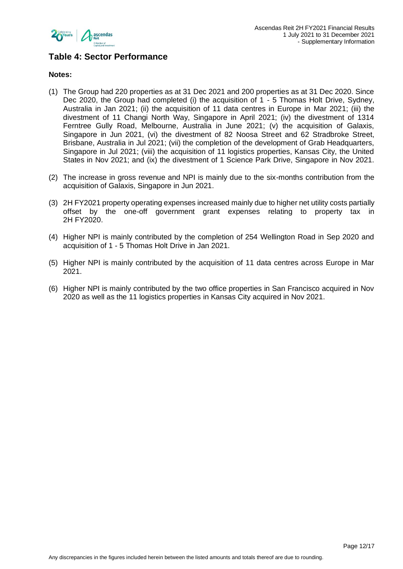

## **Table 4: Sector Performance**

#### **Notes:**

- (1) The Group had 220 properties as at 31 Dec 2021 and 200 properties as at 31 Dec 2020. Since Dec 2020, the Group had completed (i) the acquisition of 1 - 5 Thomas Holt Drive, Sydney, Australia in Jan 2021; (ii) the acquisition of 11 data centres in Europe in Mar 2021; (iii) the divestment of 11 Changi North Way, Singapore in April 2021; (iv) the divestment of 1314 Ferntree Gully Road, Melbourne, Australia in June 2021; (v) the acquisition of Galaxis, Singapore in Jun 2021, (vi) the divestment of 82 Noosa Street and 62 Stradbroke Street, Brisbane, Australia in Jul 2021; (vii) the completion of the development of Grab Headquarters, Singapore in Jul 2021; (viii) the acquisition of 11 logistics properties, Kansas City, the United States in Nov 2021; and (ix) the divestment of 1 Science Park Drive, Singapore in Nov 2021.
- (2) The increase in gross revenue and NPI is mainly due to the six-months contribution from the acquisition of Galaxis, Singapore in Jun 2021.
- (3) 2H FY2021 property operating expenses increased mainly due to higher net utility costs partially offset by the one-off government grant expenses relating to property tax in 2H FY2020.
- (4) Higher NPI is mainly contributed by the completion of 254 Wellington Road in Sep 2020 and acquisition of 1 - 5 Thomas Holt Drive in Jan 2021.
- (5) Higher NPI is mainly contributed by the acquisition of 11 data centres across Europe in Mar 2021.
- (6) Higher NPI is mainly contributed by the two office properties in San Francisco acquired in Nov 2020 as well as the 11 logistics properties in Kansas City acquired in Nov 2021.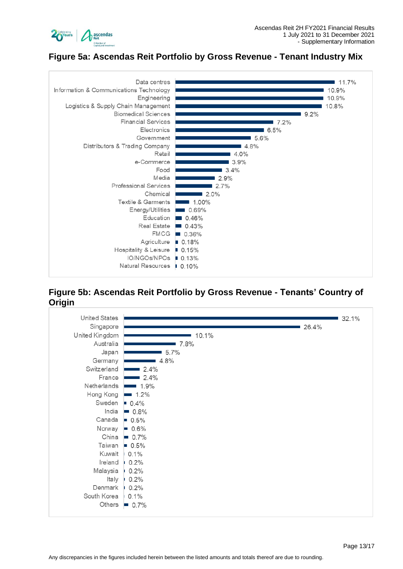

# <span id="page-12-0"></span>**Figure 5a: Ascendas Reit Portfolio by Gross Revenue - Tenant Industry Mix**



#### **Figure 5b: Ascendas Reit Portfolio by Gross Revenue - Tenants' Country of Origin**

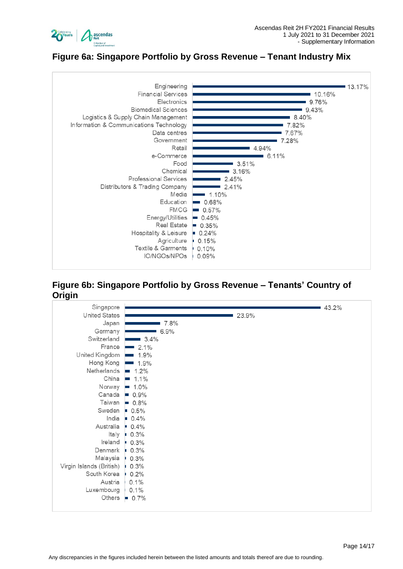

# <span id="page-13-0"></span>**Figure 6a: Singapore Portfolio by Gross Revenue – Tenant Industry Mix**



#### <span id="page-13-1"></span>**Figure 6b: Singapore Portfolio by Gross Revenue – Tenants' Country of Origin**

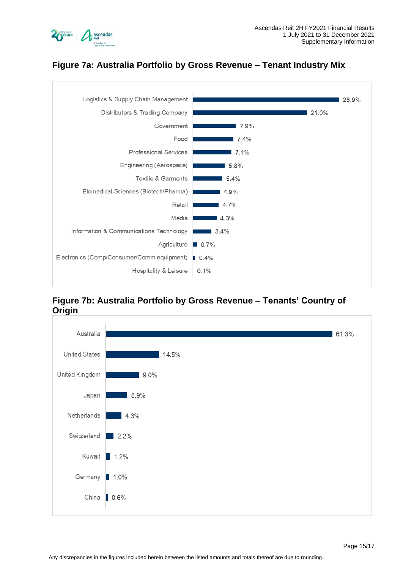



# <span id="page-14-0"></span>**Figure 7a: Australia Portfolio by Gross Revenue – Tenant Industry Mix**

# <span id="page-14-1"></span>**Figure 7b: Australia Portfolio by Gross Revenue – Tenants' Country of Origin**

![](_page_14_Figure_5.jpeg)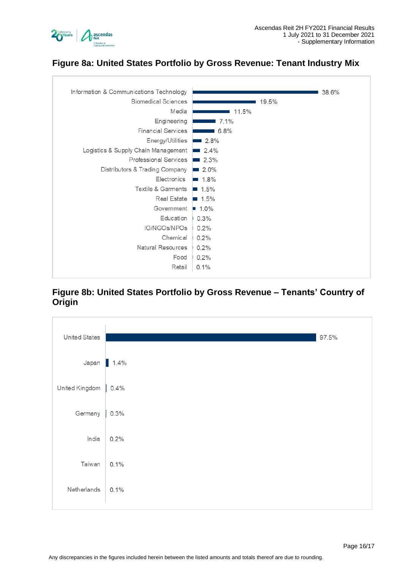![](_page_15_Picture_0.jpeg)

# <span id="page-15-0"></span>**Figure 8a: United States Portfolio by Gross Revenue: Tenant Industry Mix**

<span id="page-15-1"></span>![](_page_15_Figure_3.jpeg)

#### **Figure 8b: United States Portfolio by Gross Revenue – Tenants' Country of Origin**

![](_page_15_Figure_5.jpeg)